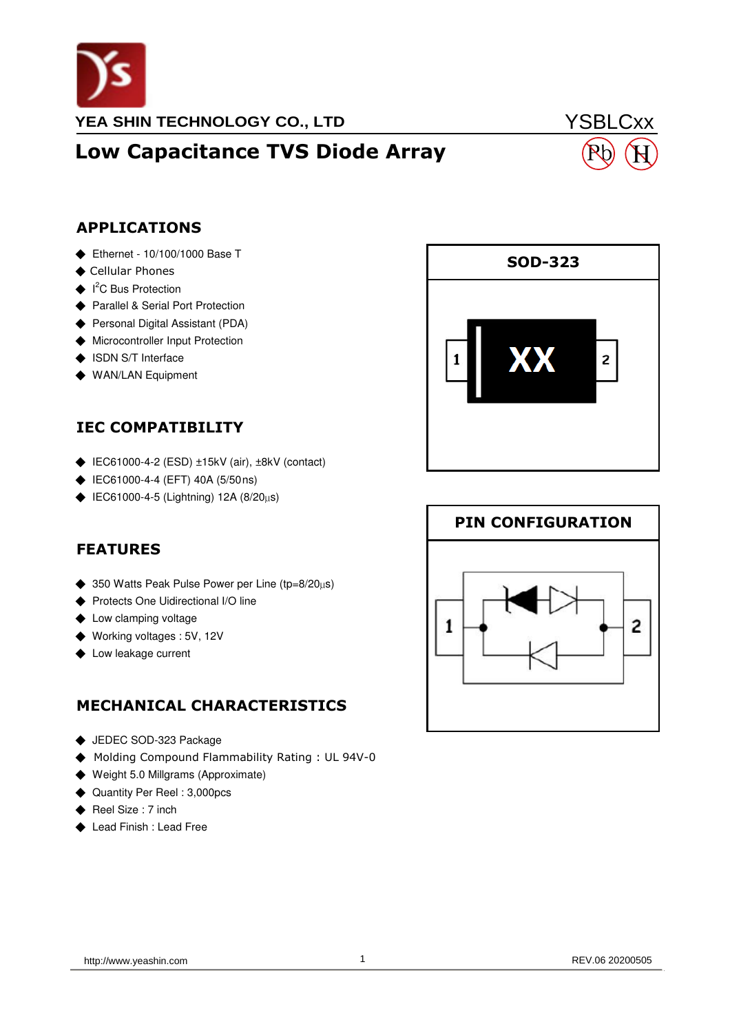

# Low Capacitance TVS Diode Array

# **YSBLCxx** H

### APPLICATIONS

- ◆ Ethernet 10/100/1000 Base T
- ◆ Cellular Phones
- ◆ I<sup>2</sup>C Bus Protection
- ◆ Parallel & Serial Port Protection
- ◆ Personal Digital Assistant (PDA)
- ◆ Microcontroller Input Protection
- ◆ ISDN S/T Interface
- ◆ WAN/LAN Equipment

### IEC COMPATIBILITY

- ◆ IEC61000-4-2 (ESD) ±15kV (air), ±8kV (contact)
- ◆ IEC61000-4-4 (EFT) 40A (5/50ns)
- ◆ IEC61000-4-5 (Lightning) 12A (8/20µs)

#### FEATURES

- ◆ 350 Watts Peak Pulse Power per Line (tp=8/20 $\mu$ s)
- ◆ Protects One Uidirectional I/O line
- ◆ Low clamping voltage
- ◆ Working voltages : 5V, 12V
- ◆ Low leakage current

### MECHANICAL CHARACTERISTICS

- ◆ JEDEC SOD-323 Package
- ◆ Molding Compound Flammability Rating : UL 94V-0
- ◆ Weight 5.0 Millgrams (Approximate)
- ◆ Quantity Per Reel : 3,000pcs
- ◆ Reel Size : 7 inch
- ◆ Lead Finish : Lead Free



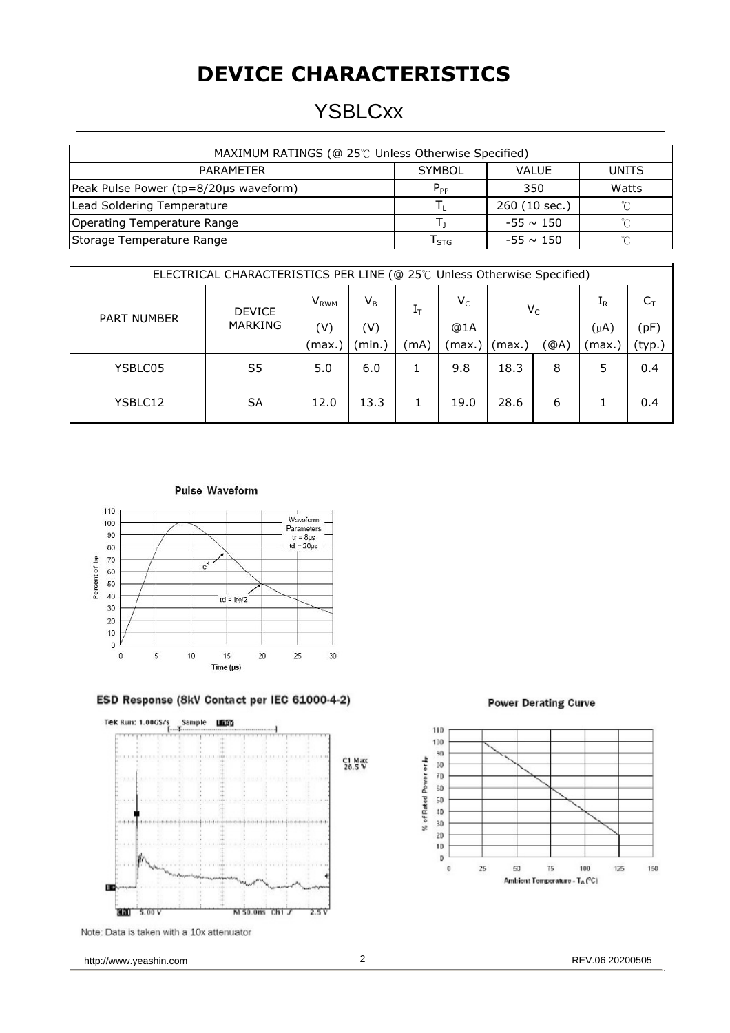# **DEVICE CHARACTERISTICS**

### **YSBLCxx**

| MAXIMUM RATINGS (@ 25°C Unless Otherwise Specified) |                             |                |              |  |  |
|-----------------------------------------------------|-----------------------------|----------------|--------------|--|--|
| PARAMETER                                           | <b>SYMBOL</b>               | <b>VALUE</b>   | <b>UNITS</b> |  |  |
| Peak Pulse Power (tp=8/20µs waveform)               | $P_{PP}$                    | 350            | Watts        |  |  |
| Lead Soldering Temperature                          |                             | 260 (10 sec.)  | $\sim$       |  |  |
| Operating Temperature Range                         |                             | $-55 \sim 150$ | $\sim$       |  |  |
| Storage Temperature Range                           | $\mathsf{T}_{\textsf{STG}}$ | $-55 \sim 150$ | $\sim$       |  |  |

| ELECTRICAL CHARACTERISTICS PER LINE (@ 25℃ Unless Otherwise Specified) |                                 |                         |         |             |        |        |      |           |        |
|------------------------------------------------------------------------|---------------------------------|-------------------------|---------|-------------|--------|--------|------|-----------|--------|
| <b>PART NUMBER</b>                                                     | <b>DEVICE</b><br><b>MARKING</b> | <b>V</b> <sub>RWM</sub> | $V_{B}$ | $\rm I_{T}$ | $V_C$  | $V_C$  |      | $\rm I_R$ | $C_T$  |
|                                                                        |                                 | (V)                     | (V)     |             | @1A    |        |      | $(\mu A)$ | (pF)   |
|                                                                        |                                 | (max.)                  | (min.)  | (mA)        | (max.) | (max.) | (@A) | (max.)    | (typ.) |
| YSBLC05                                                                | S <sub>5</sub>                  | 5.0                     | 6.0     |             | 9.8    | 18.3   | 8    | 5         | 0.4    |
| YSBLC12                                                                | <b>SA</b>                       | 12.0                    | 13.3    |             | 19.0   | 28.6   | 6    |           | 0.4    |





#### ESD Response (8kV Contact per IEC 61000-4-2)



Note: Data is taken with a 10x attenuator





http://www.yeashin.com 2 2 REV.06 20200505